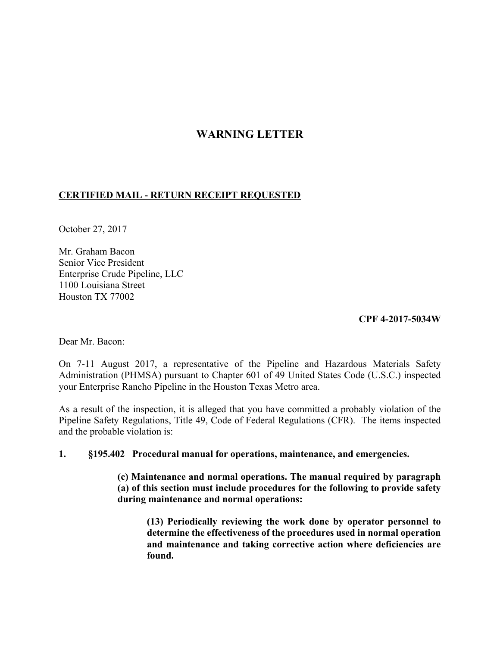## **WARNING LETTER**

## **CERTIFIED MAIL - RETURN RECEIPT REQUESTED**

October 27, 2017

Mr. Graham Bacon Senior Vice President Enterprise Crude Pipeline, LLC 1100 Louisiana Street Houston TX 77002

## **CPF 4-2017-5034W**

Dear Mr. Bacon:

 On 7-11 August 2017, a representative of the Pipeline and Hazardous Materials Safety Administration (PHMSA) pursuant to Chapter 601 of 49 United States Code (U.S.C.) inspected your Enterprise Rancho Pipeline in the Houston Texas Metro area.

 Pipeline Safety Regulations, Title 49, Code of Federal Regulations (CFR). The items inspected As a result of the inspection, it is alleged that you have committed a probably violation of the and the probable violation is:

## **1. §195.402 Procedural manual for operations, maintenance, and emergencies.**

**(c) Maintenance and normal operations. The manual required by paragraph (a) of this section must include procedures for the following to provide safety during maintenance and normal operations:** 

**(13) Periodically reviewing the work done by operator personnel to determine the effectiveness of the procedures used in normal operation and maintenance and taking corrective action where deficiencies are found.**